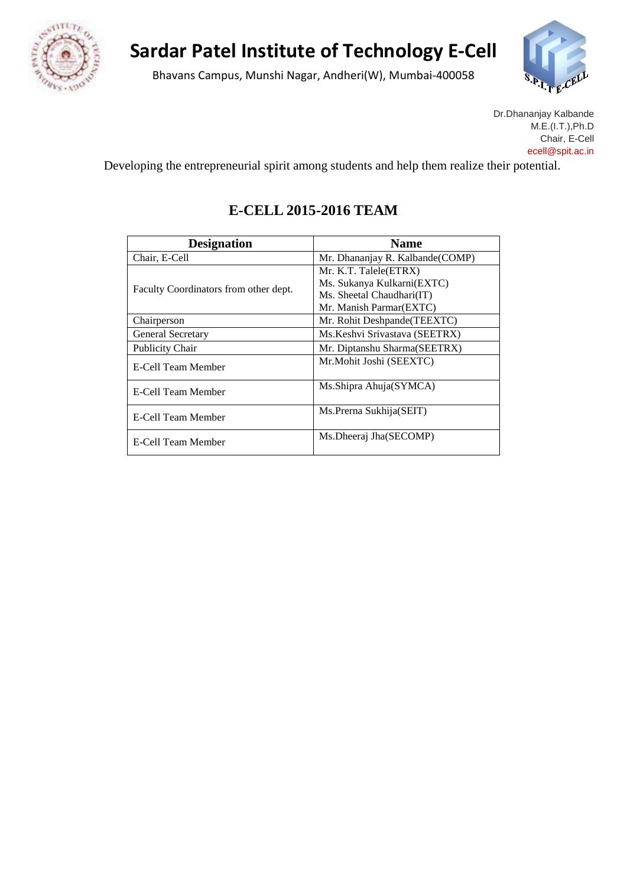

## **Sardar Patel Institute of Technology E-Cell**

Bhavans Campus, Munshi Nagar, Andheri(W), Mumbai-400058



Dr.Dhananjay Kalbande M.E.(I.T.),Ph.D Chair, E-Cell ece[ll@spit.ac.in](mailto:drkalbande@spit.ac.in)

Developing the entrepreneurial spirit among students and help them realize their potential.

## **E-CELL 2015-2016 TEAM**

| <b>Designation</b>                    | <b>Name</b>                     |  |
|---------------------------------------|---------------------------------|--|
| Chair, E-Cell                         | Mr. Dhananjay R. Kalbande(COMP) |  |
| Faculty Coordinators from other dept. | Mr. K.T. Talele(ETRX)           |  |
|                                       | Ms. Sukanya Kulkarni(EXTC)      |  |
|                                       | Ms. Sheetal Chaudhari(IT)       |  |
|                                       | Mr. Manish Parmar(EXTC)         |  |
| Chairperson                           | Mr. Rohit Deshpande (TEEXTC)    |  |
| <b>General Secretary</b>              | Ms. Keshvi Srivastava (SEETRX)  |  |
| <b>Publicity Chair</b>                | Mr. Diptanshu Sharma(SEETRX)    |  |
| E-Cell Team Member                    | Mr.Mohit Joshi (SEEXTC)         |  |
| E-Cell Team Member                    | Ms.Shipra Ahuja(SYMCA)          |  |
| E-Cell Team Member                    | Ms. Prerna Sukhija (SEIT)       |  |
| E-Cell Team Member                    | Ms.Dheeraj Jha(SECOMP)          |  |